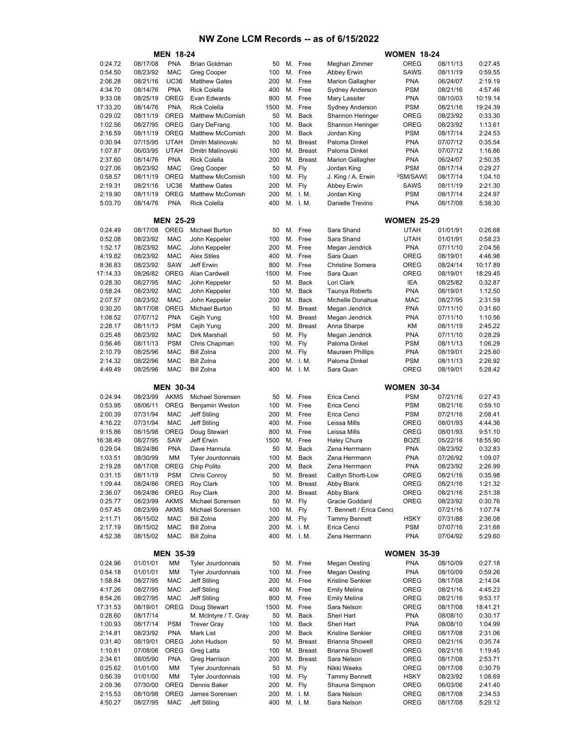|                     |                      | <b>MEN 18-24</b>          |                                        |             |          |                    |                                         | <b>WOMEN 18-24</b>        |                      |                      |
|---------------------|----------------------|---------------------------|----------------------------------------|-------------|----------|--------------------|-----------------------------------------|---------------------------|----------------------|----------------------|
| 0:24.72             | 08/17/08             | PNA                       | <b>Brian Goldman</b>                   | 50          | М.       | Free               | Meghan Zimmer                           | <b>OREG</b>               | 08/11/13             | 0:27.45              |
| 0:54.50             | 08/23/92             | <b>MAC</b>                | <b>Greg Cooper</b>                     | 100         | М.       | Free               | Abbey Erwin                             | SAWS                      | 08/11/19             | 0:59.55              |
| 2:06.28             | 08/21/16             | <b>UC36</b>               | <b>Matthew Gates</b>                   | 200         | М.       | Free               | <b>Marion Gallagher</b>                 | <b>PNA</b>                | 06/24/07             | 2:19.19              |
| 4:34.70             | 08/14/76             | <b>PNA</b>                | <b>Rick Colella</b>                    | 400         | М.       | Free               | Sydney Anderson                         | <b>PSM</b>                | 08/21/16             | 4:57.46              |
| 9:33.08<br>17:33.20 | 08/25/19<br>08/14/76 | <b>OREG</b><br><b>PNA</b> | Evan Edwards<br><b>Rick Colella</b>    | 800<br>1500 | М.<br>М. | Free<br>Free       | Mary Lassiter<br><b>Sydney Anderson</b> | <b>PNA</b><br><b>PSM</b>  | 08/10/03<br>08/21/16 | 10:19.14<br>19:24.39 |
| 0:29.02             | 08/11/19             | <b>OREG</b>               | <b>Matthew McComish</b>                | 50          | М.       | Back               | Shannon Heringer                        | OREG                      | 08/23/92             | 0:33.30              |
| 1:02.56             | 08/27/95             | <b>OREG</b>               | Gary DeFrang                           | 100         | М.       | Back               | Shannon Heringer                        | OREG                      | 08/23/92             | 1:13.61              |
| 2:16.59             | 08/11/19             | <b>OREG</b>               | <b>Matthew McComish</b>                | 200         | М.       | <b>Back</b>        | Jordan King                             | <b>PSM</b>                | 08/17/14             | 2:24.53              |
| 0:30.94             | 07/15/95             | <b>UTAH</b>               | Dmitri Malinovski                      | 50          | М.       | <b>Breast</b>      | Paloma Dinkel                           | <b>PNA</b>                | 07/07/12             | 0:35.54              |
| 1:07.87             | 06/03/95             | <b>UTAH</b>               | Dmitri Malinovski                      | 100         | М.       | <b>Breast</b>      | Paloma Dinkel                           | <b>PNA</b>                | 07/07/12             | 1:16.86              |
| 2:37.60             | 08/14/76             | <b>PNA</b>                | <b>Rick Colella</b>                    | 200         | М.       | <b>Breast</b>      | <b>Marion Gallagher</b>                 | <b>PNA</b>                | 06/24/07             | 2:50.35              |
| 0:27.06             | 08/23/92             | <b>MAC</b>                | <b>Greg Cooper</b>                     | 50          | М.       | Fly                | Jordan King                             | <b>PSM</b>                | 08/17/14             | 0:29.27              |
| 0:58.57             | 08/11/19             | <b>OREG</b>               | <b>Matthew McComish</b>                | 100         | М.       | Fly                | J. King / A. Erwin                      | <b>PSM/SAWS</b>           | 08/17/14             | 1:04.10              |
| 2:19.31             | 08/21/16             | <b>UC36</b>               | <b>Matthew Gates</b>                   | 200         | М.       | Fly                | Abbey Erwin                             | SAWS                      | 08/11/19             | 2:21.30              |
| 2:19.90             | 08/11/19             | OREG<br><b>PNA</b>        | <b>Matthew McComish</b>                | 200         | М.       | I. M.<br>M. I.M.   | Jordan King                             | <b>PSM</b><br><b>PNA</b>  | 08/17/14             | 2:24.97              |
| 5:03.70             | 08/14/76             |                           | <b>Rick Colella</b>                    | 400         |          |                    | Danielle Trevino                        |                           | 08/17/08             | 5:38.30              |
|                     |                      | <b>MEN 25-29</b>          |                                        |             |          |                    |                                         | <b>WOMEN 25-29</b>        |                      |                      |
| 0:24.49             | 08/17/08             | <b>OREG</b>               | <b>Michael Burton</b>                  | 50          | М.       | Free               | Sara Shand                              | <b>UTAH</b>               | 01/01/91             | 0:26.68              |
| 0:52.08             | 08/23/92             | <b>MAC</b>                | John Keppeler                          | 100         | М.       | Free               | Sara Shand                              | <b>UTAH</b>               | 01/01/91             | 0:58.23              |
| 1:52.17             | 08/23/92             | <b>MAC</b>                | John Keppeler                          | 200         | М.       | Free               | Megan Jendrick                          | <b>PNA</b>                | 07/11/10             | 2:04.56              |
| 4:19.82             | 08/23/92             | <b>MAC</b>                | <b>Alex Stiles</b>                     | 400         | М.       | Free               | Sara Quan                               | <b>OREG</b>               | 08/19/01             | 4:46.98              |
| 8:36.83             | 08/23/92             | <b>SAW</b>                | Jeff Erwin                             | 800         | М.       | Free               | <b>Christine Somera</b>                 | OREG                      | 08/24/14             | 10:17.89             |
| 17:14.33            | 08/26/82             | OREG                      | Alan Cardwell                          | 1500        | М.       | Free               | Sara Quan                               | OREG                      | 08/19/01             | 18:29.45             |
| 0:28.30             | 08/27/95             | <b>MAC</b><br><b>MAC</b>  | John Keppeler                          | 50<br>100   | М.<br>М. | Back               | Lori Clark                              | IEA<br><b>PNA</b>         | 08/25/82<br>08/19/01 | 0:32.87<br>1:12.50   |
| 0:58.24<br>2:07.57  | 08/23/92<br>08/23/92 | <b>MAC</b>                | John Keppeler<br>John Keppeler         | 200         | М.       | Back<br>Back       | Taunya Roberts<br>Michelle Donahue      | <b>MAC</b>                | 08/27/95             | 2:31.59              |
| 0:30.20             | 08/17/08             | OREG                      | <b>Michael Burton</b>                  | 50          | М.       | <b>Breast</b>      | Megan Jendrick                          | <b>PNA</b>                | 07/11/10             | 0:31.60              |
| 1:08.52             | 07/07/12             | <b>PNA</b>                | Cejih Yung                             | 100         | М.       | <b>Breast</b>      | Megan Jendrick                          | <b>PNA</b>                | 07/11/10             | 1:10.56              |
| 2:28.17             | 08/11/13             | <b>PSM</b>                | Cejih Yung                             | 200         | М.       | <b>Breast</b>      | Anna Sharpe                             | ΚM                        | 08/11/19             | 2:45.22              |
| 0:25.48             | 08/23/92             | <b>MAC</b>                | Dirk Marshall                          | 50          | М.       | Fly                | Megan Jendrick                          | <b>PNA</b>                | 07/11/10             | 0:28.29              |
| 0:56.46             | 08/11/13             | <b>PSM</b>                | Chris Chapman                          | 100         | М.       | Fly                | Paloma Dinkel                           | <b>PSM</b>                | 08/11/13             | 1:06.29              |
| 2:10.79             | 08/25/96             | <b>MAC</b>                | <b>Bill Zolna</b>                      | 200         | М.       | Fly                | <b>Maureen Phillips</b>                 | <b>PNA</b>                | 08/19/01             | 2:25.60              |
| 2:14.32             | 08/22/96             | <b>MAC</b>                | <b>Bill Zolna</b>                      | 200         | М.       | I. M.              | Paloma Dinkel                           | <b>PSM</b>                | 08/11/13             | 2:26.92              |
| 4:49.49             | 08/25/96             | <b>MAC</b>                | <b>Bill Zolna</b>                      | 400         |          | M. I.M.            | Sara Quan                               | OREG                      | 08/19/01             | 5:28.42              |
|                     |                      | <b>MEN 30-34</b>          |                                        |             |          |                    |                                         | <b>WOMEN 30-34</b>        |                      |                      |
| 0:24.94             | 08/23/99             | <b>AKMS</b>               | Michael Sorensen                       | 50          | М.       | Free               | Erica Cenci                             | <b>PSM</b>                | 07/21/16             | 0:27.43              |
| 0:53.95             | 08/06/11             | <b>OREG</b>               | Benjamin Weston                        | 100         | М.       | Free               | Erica Cenci                             | <b>PSM</b>                | 08/21/16             | 0:59.10              |
| 2:00.39             | 07/31/94             | <b>MAC</b>                | Jeff Stiling                           | 200         | М.       | Free               | Erica Cenci                             | <b>PSM</b>                | 07/21/16             | 2:08.41              |
| 4:16.22             | 07/31/94             | <b>MAC</b>                | Jeff Stiling                           | 400         | М.       | Free               | Leissa Mills                            | OREG                      | 08/01/93             | 4:44.36              |
| 9:15.86             | 08/15/98             | OREG                      | Doug Stewart                           | 800         | М.       | Free               | Leissa Mills                            | OREG                      | 08/01/93             | 9:51.10              |
| 16:38.49<br>0:29.04 | 08/27/95<br>08/24/86 | <b>SAW</b><br><b>PNA</b>  | Jeff Erwin<br>Dave Hannula             | 1500<br>50  | М.<br>М. | Free<br>Back       | <b>Haley Chura</b><br>Zena Herrmann     | <b>BOZE</b><br><b>PNA</b> | 05/22/16             | 18:55.90<br>0:32.83  |
| 1:03.51             | 08/30/99             | MM                        | <b>Tyler Jourdonnais</b>               | 100         | М.       | Back               | Zena Herrmann                           | <b>PNA</b>                | 08/23/92<br>07/26/92 | 1:09.07              |
| 2:19.28             | 08/17/08             | <b>OREG</b>               | Chip Polito                            | 200         | М.       | Back               | Zena Herrmann                           | <b>PNA</b>                | 08/23/92             | 2:26.99              |
| 0:31.15             | 08/11/19             | <b>PSM</b>                | Chris Conroy                           | 50          | M.       | Breast             | Caitlyn Shortt-Low                      | OREG                      | 08/21/16             | 0:35.98              |
| 1:09.44             | 08/24/86             | OREG                      | Roy Clark                              | 100         | М.       | <b>Breast</b>      | Abby Blank                              | OREG                      | 08/21/16             | 1:21.32              |
| 2:36.07             | 08/24/86             | OREG                      | Roy Clark                              | 200         | М.       | <b>Breast</b>      | Abby Blank                              | OREG                      | 08/21/16             | 2:51.38              |
| 0:25.77             | 08/23/99             | <b>AKMS</b>               | Michael Sorensen                       | 50          | М.       | Fly                | Gracie Goddard                          | OREG                      | 08/23/92             | 0:30.76              |
| 0:57.45             | 08/23/99             | <b>AKMS</b>               | Michael Sorensen                       | 100         | М.       | Fly                | T. Bennett / Erica Cenci                |                           | 07/21/16             | 1:07.74              |
| 2:11.71             | 08/15/02             | <b>MAC</b>                | <b>Bill Zolna</b>                      | 200         | М.       | Fly                | <b>Tammy Bennett</b>                    | <b>HSKY</b>               | 07/31/88             | 2:36.08              |
| 2:17.19<br>4:52.38  | 08/15/02<br>08/15/02 | <b>MAC</b><br><b>MAC</b>  | <b>Bill Zolna</b><br><b>Bill Zolna</b> | 200<br>400  |          | M. I.M.<br>M. I.M. | Erica Cenci<br>Zena Herrmann            | <b>PSM</b><br><b>PNA</b>  | 07/07/16<br>07/04/92 | 2:31.68<br>5:29.60   |
|                     |                      |                           |                                        |             |          |                    |                                         |                           |                      |                      |
|                     |                      | <b>MEN 35-39</b>          |                                        |             |          |                    |                                         | <b>WOMEN 35-39</b>        |                      |                      |
| 0:24.96             | 01/01/01             | МM                        | Tyler Jourdonnais                      | 50          | М.       | Free               | <b>Megan Oesting</b>                    | <b>PNA</b>                | 08/10/09             | 0:27.18              |
| 0:54.18             | 01/01/01             | MM                        | Tyler Jourdonnais                      | 100         | М.       | Free               | Megan Oesting                           | <b>PNA</b>                | 08/10/09             | 0:59.26              |
| 1:58.84<br>4:17.26  | 08/27/95<br>08/27/95 | <b>MAC</b><br><b>MAC</b>  | Jeff Stiling<br>Jeff Stiling           | 200<br>400  | М.<br>М. | Free<br>Free       | Kristine Senkier<br><b>Emily Melina</b> | OREG<br>OREG              | 08/17/08<br>08/21/16 | 2:14.04<br>4:45.23   |
| 8:54.26             | 08/27/95             | <b>MAC</b>                | Jeff Stiling                           | 800         | М.       | Free               | <b>Emily Melina</b>                     | OREG                      | 08/21/16             | 9:53.17              |
| 17:31.53            | 08/19/01             | OREG                      | Doug Stewart                           | 1500        | М.       | Free               | Sara Nelson                             | OREG                      | 08/17/08             | 18:41.21             |
| 0:28.60             | 08/17/14             |                           | M. McIntyre / T. Gray                  | 50          | М.       | Back               | Sheri Hart                              | <b>PNA</b>                | 08/08/10             | 0:30.17              |
| 1:00.93             | 08/17/14             | <b>PSM</b>                | <b>Trever Gray</b>                     | 100         | М.       | <b>Back</b>        | Sheri Hart                              | <b>PNA</b>                | 08/08/10             | 1:04.99              |
| 2:14.81             | 08/23/92             | <b>PNA</b>                | Mark List                              | 200         | М.       | Back               | Kristine Senkier                        | OREG                      | 08/17/08             | 2:31.06              |
| 0:31.40             | 08/19/01             | OREG                      | John Hudson                            | 50          | М.       | <b>Breast</b>      | <b>Brianna Showell</b>                  | OREG                      | 08/21/16             | 0:35.74              |
| 1:10.61             | 07/08/06             | OREG                      | Greg Latta                             | 100         | М.       | <b>Breast</b>      | <b>Brianna Showell</b>                  | OREG                      | 08/21/16             | 1:19.45              |
| 2:34.61             | 08/05/90             | <b>PNA</b>                | Greg Harrison                          | 200         | М.       | <b>Breast</b>      | Sara Nelson                             | OREG                      | 08/17/08             | 2:53.71              |
| 0:25.62             | 01/01/00             | MM                        | Tyler Jourdonnais                      | 50          | М.       | Fly                | Nikki Weeks                             | OREG                      | 08/17/08             | 0:30.79              |
| 0:56.39<br>2:09.36  | 01/01/00<br>07/30/00 | MM<br>OREG                | Tyler Jourdonnais<br>Dennis Baker      | 100<br>200  | М.<br>М. | Fly<br>Fly         | <b>Tammy Bennett</b><br>Shauna Simpson  | <b>HSKY</b><br>OREG       | 08/23/92<br>06/03/06 | 1:08.69<br>2:41.40   |
|                     |                      | OREG                      | James Sorensen                         | 200         |          | M. I.M.            | Sara Nelson                             | OREG                      | 08/17/08             | 2:34.53              |
|                     |                      |                           |                                        |             |          |                    |                                         |                           |                      |                      |
| 2:15.53<br>4:50.27  | 08/10/98<br>08/27/95 | <b>MAC</b>                | Jeff Stiling                           | 400         |          | M. I.M.            | Sara Nelson                             | OREG                      | 08/17/08             | 5:29.12              |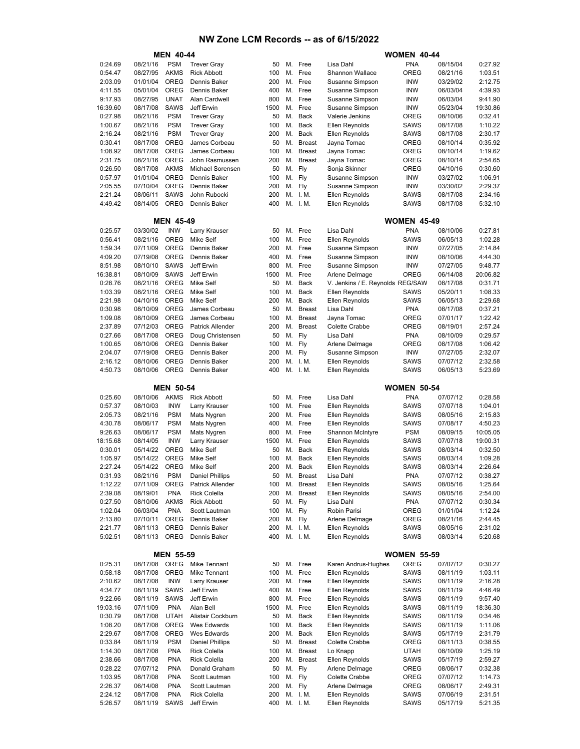|                    |                      | <b>MEN 40-44</b>    |                                    |            |          | <b>WOMEN 40-44</b>   |                                   |                            |                      |                    |
|--------------------|----------------------|---------------------|------------------------------------|------------|----------|----------------------|-----------------------------------|----------------------------|----------------------|--------------------|
| 0:24.69            | 08/21/16             | <b>PSM</b>          | <b>Trever Gray</b>                 | 50         |          | M. Free              | Lisa Dahl                         | <b>PNA</b>                 | 08/15/04             | 0:27.92            |
| 0:54.47            | 08/27/95             | <b>AKMS</b>         | <b>Rick Abbott</b>                 | 100        | М.       | Free                 | Shannon Wallace                   | <b>OREG</b>                | 08/21/16             | 1:03.51            |
| 2:03.09            | 01/01/04             | OREG                | Dennis Baker                       | 200        | М.       | Free                 | Susanne Simpson                   | <b>INW</b>                 | 03/29/02             | 2:12.75            |
| 4:11.55            | 05/01/04             | <b>OREG</b>         | Dennis Baker                       | 400        | М.       | Free                 | Susanne Simpson                   | <b>INW</b>                 | 06/03/04             | 4:39.93            |
| 9:17.93            | 08/27/95             | <b>UNAT</b>         | Alan Cardwell                      | 800        | М.       | Free                 | Susanne Simpson                   | <b>INW</b>                 | 06/03/04             | 9:41.90            |
| 16:39.60           | 08/17/08             | <b>SAWS</b>         | Jeff Erwin                         | 1500       | М.       | Free                 | Susanne Simpson                   | <b>INW</b>                 | 05/23/04             | 19:30.86           |
| 0:27.98            | 08/21/16             | <b>PSM</b>          | <b>Trever Gray</b>                 | 50         | М.       | <b>Back</b>          | Valerie Jenkins                   | <b>OREG</b>                | 08/10/06             | 0:32.41            |
| 1:00.67            | 08/21/16             | <b>PSM</b>          | <b>Trever Gray</b>                 | 100        | М.       | <b>Back</b>          | Ellen Reynolds                    | SAWS                       | 08/17/08             | 1:10.22            |
| 2:16.24            | 08/21/16             | <b>PSM</b>          | <b>Trever Gray</b>                 | 200        | М.       | <b>Back</b>          | Ellen Reynolds                    | SAWS                       | 08/17/08             | 2:30.17            |
| 0:30.41            | 08/17/08             | <b>OREG</b>         | James Corbeau                      | 50         | М.       | <b>Breast</b>        | Jayna Tomac                       | OREG                       | 08/10/14             | 0:35.92            |
| 1:08.92            | 08/17/08             | OREG<br><b>OREG</b> | James Corbeau                      | 100<br>200 | М.       | <b>Breast</b>        | Jayna Tomac                       | <b>OREG</b><br><b>OREG</b> | 08/10/14             | 1:19.62<br>2:54.65 |
| 2:31.75<br>0:26.50 | 08/21/16<br>08/17/08 | <b>AKMS</b>         | John Rasmussen<br>Michael Sorensen | 50         | М.<br>М. | <b>Breast</b><br>Fly | Jayna Tomac<br>Sonja Skinner      | OREG                       | 08/10/14<br>04/10/16 | 0:30.60            |
| 0:57.97            | 01/01/04             | <b>OREG</b>         | Dennis Baker                       | 100        | М.       | Fly                  | Susanne Simpson                   | <b>INW</b>                 | 03/27/02             | 1:06.91            |
| 2:05.55            | 07/10/04             | <b>OREG</b>         | Dennis Baker                       | 200        | М.       | Fly                  | Susanne Simpson                   | <b>INW</b>                 | 03/30/02             | 2:29.37            |
| 2:21.24            | 08/06/11             | <b>SAWS</b>         | John Rubocki                       | 200        |          | M. I.M.              | Ellen Reynolds                    | SAWS                       | 08/17/08             | 2:34.16            |
| 4:49.42            | 08/14/05             | OREG                | Dennis Baker                       | 400        |          | M. I.M.              | Ellen Reynolds                    | <b>SAWS</b>                | 08/17/08             | 5:32.10            |
|                    |                      |                     |                                    |            |          |                      |                                   |                            |                      |                    |
|                    |                      | <b>MEN 45-49</b>    |                                    |            |          |                      |                                   | <b>WOMEN 45-49</b>         |                      |                    |
| 0:25.57            | 03/30/02             | <b>INW</b>          | Larry Krauser                      | 50         | М.       | Free                 | Lisa Dahl                         | <b>PNA</b>                 | 08/10/06             | 0:27.81            |
| 0:56.41            | 08/21/16             | <b>OREG</b>         | <b>Mike Self</b>                   | 100        | М.       | Free                 | Ellen Reynolds                    | <b>SAWS</b>                | 06/05/13             | 1:02.28            |
| 1:59.34            | 07/11/09             | <b>OREG</b>         | Dennis Baker                       | 200        | М.       | Free                 | Susanne Simpson                   | <b>INW</b>                 | 07/27/05             | 2:14.84            |
| 4:09.20            | 07/19/08             | <b>OREG</b>         | Dennis Baker                       | 400        | М.       | Free                 | Susanne Simpson                   | INW                        | 08/10/06             | 4:44.30            |
| 8:51.98            | 08/10/10             | <b>SAWS</b>         | Jeff Erwin                         | 800        | М.       | Free                 | Susanne Simpson                   | <b>INW</b>                 | 07/27/05             | 9:48.77            |
| 16:38.81           | 08/10/09             | <b>SAWS</b>         | Jeff Erwin                         | 1500       | М.       | Free                 | Arlene Delmage                    | <b>OREG</b>                | 06/14/08             | 20:06.82           |
| 0:28.76            | 08/21/16             | OREG                | <b>Mike Self</b>                   | 50         | М.       | <b>Back</b>          | V. Jenkins / E. Reynolds REG/SAW  |                            | 08/17/08             | 0:31.71            |
| 1:03.39            | 08/21/16             | OREG                | <b>Mike Self</b>                   | 100        | М.       | <b>Back</b>          | Ellen Reynolds                    | <b>SAWS</b>                | 05/20/11             | 1:08.33            |
| 2:21.98            | 04/10/16             | <b>OREG</b>         | Mike Self                          | 200        | М.       | Back                 | Ellen Reynolds                    | <b>SAWS</b>                | 06/05/13             | 2:29.68            |
| 0:30.98            | 08/10/09             | <b>OREG</b>         | James Corbeau                      | 50         | М.       | <b>Breast</b>        | Lisa Dahl                         | <b>PNA</b>                 | 08/17/08             | 0:37.21            |
| 1:09.08            | 08/10/09             | <b>OREG</b>         | James Corbeau                      | 100        | М.       | <b>Breast</b>        | Jayna Tomac                       | OREG                       | 07/01/17             | 1:22.42            |
| 2:37.89            | 07/12/03             | <b>OREG</b>         | <b>Patrick Allender</b>            | 200        | М.       | <b>Breast</b>        | Colette Crabbe                    | OREG                       | 08/19/01             | 2:57.24            |
| 0:27.66            | 08/17/08             | <b>OREG</b>         | Doug Christensen                   | 50         | М.       | Fly                  | Lisa Dahl                         | <b>PNA</b>                 | 08/10/09             | 0:29.57            |
| 1:00.65<br>2:04.07 | 08/10/06<br>07/19/08 | <b>OREG</b><br>OREG | Dennis Baker<br>Dennis Baker       | 100<br>200 | М.<br>М. | Fly<br>Fly           | Arlene Delmage<br>Susanne Simpson | OREG<br>INW                | 08/17/08<br>07/27/05 | 1:06.42<br>2:32.07 |
| 2:16.12            | 08/10/06             | <b>OREG</b>         | Dennis Baker                       | 200        | М.       | I. M.                | Ellen Reynolds                    | <b>SAWS</b>                | 07/07/12             | 2:32.58            |
| 4:50.73            | 08/10/06             | <b>OREG</b>         | Dennis Baker                       | 400        |          | M. I.M.              | Ellen Reynolds                    | SAWS                       | 06/05/13             | 5:23.69            |
|                    |                      |                     |                                    |            |          |                      |                                   |                            |                      |                    |
|                    |                      | <b>MEN 50-54</b>    |                                    |            |          |                      |                                   | <b>WOMEN 50-54</b>         |                      |                    |
| 0:25.60            | 08/10/06             | <b>AKMS</b>         | <b>Rick Abbott</b>                 | 50         | М.       | Free                 | Lisa Dahl                         | <b>PNA</b>                 | 07/07/12             | 0:28.58            |
| 0:57.37            | 08/10/03             | <b>INW</b>          | Larry Krauser                      | 100        | М.       | Free                 | Ellen Reynolds                    | <b>SAWS</b>                | 07/07/18             | 1:04.01            |
| 2:05.73            | 08/21/16             | <b>PSM</b>          | Mats Nygren                        | 200        | М.       | Free                 | Ellen Reynolds                    | SAWS                       | 08/05/16             | 2:15.83            |
| 4:30.78            | 08/06/17             | <b>PSM</b>          | Mats Nygren                        | 400        | М.       | Free                 | Ellen Reynolds                    | SAWS                       | 07/08/17             | 4:50.23            |
| 9:26.63            | 08/06/17             | <b>PSM</b>          | Mats Nygren                        | 800        | М.       | Free                 | Shannon McIntyre                  | <b>PSM</b>                 | 08/09/15             | 10:05.05           |
| 18:15.68           |                      |                     |                                    |            | М.       | Free                 |                                   |                            |                      | 19:00.31           |
|                    | 08/14/05             | <b>INW</b>          | Larry Krauser                      | 1500       |          |                      | Ellen Reynolds                    | <b>SAWS</b>                | 07/07/18             |                    |
| 0:30.01            | 05/14/22             | OREG                | Mike Self                          | 50         | М.       | <b>Back</b>          | Ellen Reynolds                    | SAWS                       | 08/03/14             | 0:32.50            |
| 1:05.97            | 05/14/22             | <b>OREG</b>         | <b>Mike Self</b>                   | 100        | М.       | <b>Back</b>          | Ellen Reynolds                    | SAWS                       | 08/03/14             | 1:09.28            |
| 2:27.24            | 05/14/22             | <b>OREG</b>         | Mike Self                          | 200        |          | M. Back              | <b>Ellen Reynolds</b>             | SAWS                       | 08/03/14             | 2:26.64            |
| 0:31.93            | 08/21/16             | <b>PSM</b>          | <b>Daniel Phillips</b>             | 50         | М.       | <b>Breast</b>        | Lisa Dahl                         | PNA                        | 07/07/12             |                    |
| 1:12.22            | 07/11/09             | <b>OREG</b>         | <b>Patrick Allender</b>            | 100        |          | M. Breast            | Ellen Reynolds                    | <b>SAWS</b>                | 08/05/16             | 1:25.64            |
| 2:39.08            | 08/19/01             | <b>PNA</b>          | <b>Rick Colella</b>                | 200        | М.       | <b>Breast</b>        | Ellen Reynolds                    | <b>SAWS</b>                | 08/05/16             | 2:54.00            |
| 0:27.50            | 08/10/06             | <b>AKMS</b>         | <b>Rick Abbott</b>                 | 50         | М.       | Fly                  | Lisa Dahl                         | <b>PNA</b>                 | 07/07/12             | 0:30.34            |
| 1:02.04            | 06/03/04             | <b>PNA</b>          | Scott Lautman                      | 100        | М.       | Fly                  | Robin Parisi                      | OREG                       | 01/01/04             | 1:12.24            |
| 2:13.80            | 07/10/11             | OREG                | Dennis Baker                       | 200        | М.       | Fly                  | Arlene Delmage                    | <b>OREG</b>                | 08/21/16             | 0:38.27<br>2:44.45 |
| 2:21.77            | 08/11/13             | OREG                | Dennis Baker                       | 200        | М.       | I. M.                | Ellen Reynolds                    | SAWS                       | 08/05/16             | 2:31.02            |
| 5:02.51            | 08/11/13             | OREG                | Dennis Baker                       | 400        |          | M. I.M.              | Ellen Reynolds                    | SAWS                       | 08/03/14             | 5:20.68            |
|                    |                      | <b>MEN 55-59</b>    |                                    |            |          |                      |                                   | <b>WOMEN 55-59</b>         |                      |                    |
|                    | 08/17/08             | OREG                | Mike Tennant                       | 50         |          | M. Free              | Karen Andrus-Hughes               | OREG                       | 07/07/12             | 0:30.27            |
| 0:25.31<br>0:58.18 | 08/17/08             | OREG                | Mike Tennant                       | 100        | М.       | Free                 | Ellen Reynolds                    | <b>SAWS</b>                | 08/11/19             | 1:03.11            |
| 2:10.62            | 08/17/08             | <b>INW</b>          | Larry Krauser                      | 200        | М.       | Free                 | Ellen Reynolds                    | <b>SAWS</b>                | 08/11/19             | 2:16.28            |
| 4:34.77            | 08/11/19             | SAWS                | Jeff Erwin                         | 400        | М.       | Free                 | Ellen Reynolds                    | SAWS                       | 08/11/19             | 4:46.49            |
| 9:22.66            | 08/11/19             | <b>SAWS</b>         | Jeff Erwin                         | 800        | М.       | Free                 | Ellen Reynolds                    | SAWS                       | 08/11/19             | 9:57.40            |
| 19:03.16           | 07/11/09             | <b>PNA</b>          | Alan Bell                          | 1500       | М.       | Free                 | Ellen Reynolds                    | SAWS                       | 08/11/19             | 18:36.30           |
| 0:30.79            | 08/17/08             | <b>UTAH</b>         | Alistair Cockburn                  | 50         | М.       | Back                 | Ellen Reynolds                    | SAWS                       | 08/11/19             | 0:34.46            |
| 1:08.20            | 08/17/08             | OREG                | Wes Edwards                        | 100        | М.       | Back                 | Ellen Reynolds                    | <b>SAWS</b>                | 08/11/19             | 1:11.06            |
| 2:29.67            | 08/17/08             | OREG                | Wes Edwards                        | 200        | М.       | Back                 | Ellen Reynolds                    | SAWS                       | 05/17/19             | 2:31.79            |
| 0:33.84            | 08/11/19             | <b>PSM</b>          | <b>Daniel Phillips</b>             | 50         | М.       | <b>Breast</b>        | Colette Crabbe                    | <b>OREG</b>                | 08/11/13             | 0:38.55            |
| 1:14.30            | 08/17/08             | <b>PNA</b>          | <b>Rick Colella</b>                | 100        | М.       | <b>Breast</b>        | Lo Knapp                          | UTAH                       | 08/10/09             | 1:25.19            |
| 2:38.66            | 08/17/08             | <b>PNA</b>          | <b>Rick Colella</b>                | 200        | М.       | <b>Breast</b>        | Ellen Reynolds                    | SAWS                       | 05/17/19             | 2:59.27            |
| 0:28.22            | 07/07/12             | <b>PNA</b>          | Donald Graham                      | 50         | М.       | Fly                  | Arlene Delmage                    | OREG                       | 08/06/17             | 0:32.38            |
| 1:03.95            | 08/17/08             | <b>PNA</b>          | Scott Lautman                      | 100        | М.       | Fly                  | Colette Crabbe                    | <b>OREG</b>                | 07/07/12             | 1:14.73            |
| 2:26.37            | 06/14/08             | <b>PNA</b>          | Scott Lautman                      | 200        | М.       | Fly                  | Arlene Delmage                    | <b>OREG</b>                | 08/06/17             | 2:49.31            |
| 2:24.12<br>5:26.57 | 08/17/08<br>08/11/19 | <b>PNA</b><br>SAWS  | <b>Rick Colella</b><br>Jeff Erwin  | 200<br>400 |          | M. I.M.<br>M. I.M.   | Ellen Reynolds<br>Ellen Reynolds  | <b>SAWS</b><br><b>SAWS</b> | 07/06/19<br>05/17/19 | 2:31.51<br>5:21.35 |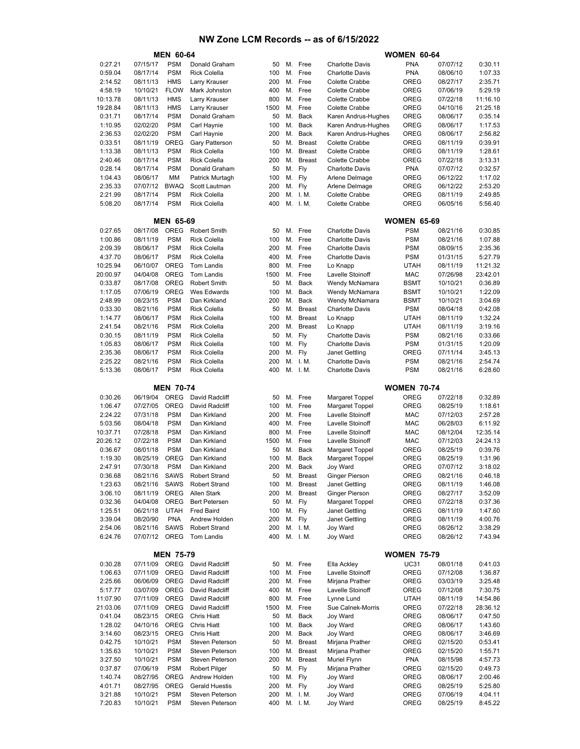|                     |                      | <b>MEN 60-64</b>          |                                            |            |          |                         |                                          | <b>WOMEN 60-64</b>       |                      |                     |
|---------------------|----------------------|---------------------------|--------------------------------------------|------------|----------|-------------------------|------------------------------------------|--------------------------|----------------------|---------------------|
| 0:27.21             | 07/15/17             | <b>PSM</b>                | Donald Graham                              | 50         |          | M. Free                 | <b>Charlotte Davis</b>                   | <b>PNA</b>               | 07/07/12             | 0:30.11             |
| 0:59.04             | 08/17/14             | <b>PSM</b>                | <b>Rick Colella</b>                        | 100        | М.       | Free                    | <b>Charlotte Davis</b>                   | <b>PNA</b>               | 08/06/10             | 1:07.33             |
| 2:14.52             | 08/11/13             | <b>HMS</b>                | Larry Krauser                              | 200        | М.       | Free                    | Colette Crabbe                           | OREG                     | 08/27/17             | 2:35.71             |
| 4:58.19<br>10:13.78 | 10/10/21<br>08/11/13 | <b>FLOW</b><br><b>HMS</b> | Mark Johnston<br>Larry Krauser             | 400<br>800 | М.       | Free<br>M. Free         | Colette Crabbe<br>Colette Crabbe         | OREG<br>OREG             | 07/06/19<br>07/22/18 | 5:29.19<br>11:16.10 |
| 19:28.84            | 08/11/13             | <b>HMS</b>                | Larry Krauser                              | 1500       | М.       | Free                    | Colette Crabbe                           | <b>OREG</b>              | 04/10/16             | 21:25.18            |
| 0:31.71             | 08/17/14             | <b>PSM</b>                | Donald Graham                              | 50         | М.       | Back                    | Karen Andrus-Hughes                      | <b>OREG</b>              | 08/06/17             | 0:35.14             |
| 1:10.95             | 02/02/20             | <b>PSM</b>                | Carl Haynie                                | 100        | М.       | <b>Back</b>             | Karen Andrus-Hughes                      | OREG                     | 08/06/17             | 1:17.53             |
| 2:36.53             | 02/02/20             | <b>PSM</b>                | Carl Haynie                                | 200        | М.       | Back                    | Karen Andrus-Hughes                      | OREG                     | 08/06/17             | 2:56.82             |
| 0:33.51             | 08/11/19             | <b>OREG</b>               | Gary Patterson                             | 50         | М.       | <b>Breast</b>           | Colette Crabbe                           | <b>OREG</b>              | 08/11/19             | 0:39.91             |
| 1:13.38             | 08/11/13             | <b>PSM</b>                | <b>Rick Colella</b>                        | 100        | М.       | <b>Breast</b>           | Colette Crabbe                           | <b>OREG</b>              | 08/11/19             | 1:28.61             |
| 2:40.46             | 08/17/14             | <b>PSM</b>                | <b>Rick Colella</b>                        | 200        | М.       | <b>Breast</b>           | Colette Crabbe                           | <b>OREG</b>              | 07/22/18             | 3:13.31             |
| 0:28.14             | 08/17/14             | <b>PSM</b><br><b>MM</b>   | Donald Graham                              | 50         | М.       | Fly                     | <b>Charlotte Davis</b>                   | <b>PNA</b>               | 07/07/12             | 0:32.57             |
| 1:04.43<br>2:35.33  | 08/06/17<br>07/07/12 | <b>BWAQ</b>               | Patrick Murtagh<br>Scott Lautman           | 100<br>200 | М.<br>М. | Fly<br>Fly              | Arlene Delmage<br>Arlene Delmage         | <b>OREG</b><br>OREG      | 06/12/22<br>06/12/22 | 1:17.02<br>2:53.20  |
| 2:21.99             | 08/17/14             | <b>PSM</b>                | <b>Rick Colella</b>                        | 200        |          | M. I.M.                 | Colette Crabbe                           | OREG                     | 08/11/19             | 2:49.85             |
| 5:08.20             | 08/17/14             | <b>PSM</b>                | <b>Rick Colella</b>                        | 400        |          | M. I.M.                 | Colette Crabbe                           | OREG                     | 06/05/16             | 5:56.40             |
|                     |                      |                           |                                            |            |          |                         |                                          |                          |                      |                     |
|                     |                      | <b>MEN 65-69</b>          |                                            |            |          |                         |                                          | <b>WOMEN 65-69</b>       |                      |                     |
| 0:27.65             | 08/17/08             | <b>OREG</b>               | <b>Robert Smith</b>                        | 50         |          | M. Free                 | <b>Charlotte Davis</b>                   | <b>PSM</b>               | 08/21/16             | 0:30.85             |
| 1:00.86             | 08/11/19             | <b>PSM</b>                | <b>Rick Colella</b>                        | 100        | М.       | Free                    | <b>Charlotte Davis</b>                   | <b>PSM</b>               | 08/21/16             | 1:07.88             |
| 2:09.39             | 08/06/17             | <b>PSM</b>                | <b>Rick Colella</b>                        | 200        | М.       | Free                    | <b>Charlotte Davis</b>                   | <b>PSM</b>               | 08/09/15             | 2:35.36             |
| 4:37.70<br>10:25.94 | 08/06/17<br>06/10/07 | <b>PSM</b><br><b>OREG</b> | <b>Rick Colella</b><br><b>Tom Landis</b>   | 400<br>800 | М.<br>М. | Free<br>Free            | <b>Charlotte Davis</b><br>Lo Knapp       | <b>PSM</b><br>UTAH       | 01/31/15<br>08/11/19 | 5:27.79<br>11:21.32 |
| 20:00.97            | 04/04/08             | OREG                      | <b>Tom Landis</b>                          | 1500       |          | M. Free                 | Lavelle Stoinoff                         | MAC                      | 07/26/98             | 23:42.01            |
| 0:33.87             | 08/17/08             | <b>OREG</b>               | <b>Robert Smith</b>                        | 50         | М.       | <b>Back</b>             | Wendy McNamara                           | BSMT                     | 10/10/21             | 0:36.89             |
| 1:17.05             | 07/06/19             | <b>OREG</b>               | Wes Edwards                                | 100        | М.       | Back                    | Wendy McNamara                           | <b>BSMT</b>              | 10/10/21             | 1:22.09             |
| 2:48.99             | 08/23/15             | <b>PSM</b>                | Dan Kirkland                               | 200        | М.       | Back                    | Wendy McNamara                           | BSMT                     | 10/10/21             | 3:04.69             |
| 0:33.30             | 08/21/16             | <b>PSM</b>                | <b>Rick Colella</b>                        | 50         | М.       | <b>Breast</b>           | <b>Charlotte Davis</b>                   | <b>PSM</b>               | 08/04/18             | 0:42.08             |
| 1:14.77             | 08/06/17             | <b>PSM</b>                | <b>Rick Colella</b>                        | 100        | М.       | <b>Breast</b>           | Lo Knapp                                 | UTAH                     | 08/11/19             | 1:32.24             |
| 2:41.54             | 08/21/16             | <b>PSM</b>                | <b>Rick Colella</b>                        | 200        | М.       | <b>Breast</b>           | Lo Knapp                                 | UTAH                     | 08/11/19             | 3:19.16             |
| 0:30.15             | 08/11/19             | <b>PSM</b>                | <b>Rick Colella</b>                        | 50         | М.       | Fly                     | <b>Charlotte Davis</b>                   | <b>PSM</b>               | 08/21/16             | 0:33.66             |
| 1:05.83<br>2:35.36  | 08/06/17<br>08/06/17 | <b>PSM</b><br><b>PSM</b>  | <b>Rick Colella</b><br><b>Rick Colella</b> | 100<br>200 | М.<br>М. | Fly<br>Fly              | <b>Charlotte Davis</b><br>Janet Gettling | <b>PSM</b><br>OREG       | 01/31/15<br>07/11/14 | 1:20.09<br>3:45.13  |
| 2:25.22             | 08/21/16             | <b>PSM</b>                | <b>Rick Colella</b>                        | 200        |          | M. I.M.                 | <b>Charlotte Davis</b>                   | <b>PSM</b>               | 08/21/16             | 2:54.74             |
| 5:13.36             | 08/06/17             | <b>PSM</b>                | <b>Rick Colella</b>                        | 400        | М.       | I. M.                   | <b>Charlotte Davis</b>                   | <b>PSM</b>               | 08/21/16             | 6:28.60             |
|                     |                      |                           |                                            |            |          |                         |                                          |                          |                      |                     |
|                     |                      | <b>MEN 70-74</b>          |                                            |            |          |                         |                                          | <b>WOMEN 70-74</b>       |                      |                     |
| 0:30.26             | 06/19/04             | <b>OREG</b>               | David Radcliff                             | 50         |          | M. Free                 | Margaret Toppel                          | OREG                     | 07/22/18             | 0:32.89             |
| 1:06.47             | 07/27/05             | <b>OREG</b>               | David Radcliff                             | 100        |          | M. Free                 | <b>Margaret Toppel</b>                   | <b>OREG</b>              | 08/25/19             | 1:18.61             |
| 2:24.22<br>5:03.56  | 07/31/18             | <b>PSM</b><br><b>PSM</b>  | Dan Kirkland<br>Dan Kirkland               | 200<br>400 | М.<br>М. | Free<br>Free            | Lavelle Stoinoff<br>Lavelle Stoinoff     | <b>MAC</b><br><b>MAC</b> | 07/12/03<br>06/28/03 | 2:57.28<br>6:11.92  |
| 10:37.71            | 08/04/18<br>07/28/18 | <b>PSM</b>                | Dan Kirkland                               | 800        | М.       | Free                    | Lavelle Stoinoff                         | <b>MAC</b>               | 08/12/04             | 12:35.14            |
| 20:26.12            | 07/22/18             | <b>PSM</b>                | Dan Kirkland                               | 1500       | М.       | Free                    | <b>Lavelle Stoinoff</b>                  | MAC                      | 07/12/03             | 24:24.13            |
| 0:36.67             | 08/01/18             | <b>PSM</b>                | Dan Kirkland                               | 50         | М.       | Back                    | <b>Margaret Toppel</b>                   | OREG                     | 08/25/19             | 0:39.76             |
| 1:19.30             | 08/25/19             | <b>OREG</b>               | Dan Kirkland                               | 100        | М.       | Back                    | <b>Margaret Toppel</b>                   | OREG                     | 08/25/19             | 1:31.96             |
| 2:47.91             | 07/30/18             | <b>PSM</b>                | Dan Kirkland                               | 200        |          | M. Back                 | Joy Ward                                 | <b>OREG</b>              | 07/07/12             | 3:18.02             |
| 0:36.68             | 08/21/16             | <b>SAWS</b>               | Robert Strand                              |            | 50 M.    | <b>Breast</b>           | Ginger Pierson                           | OREG                     | 08/21/16             | 0:46.18             |
| 1:23.63             | 08/21/16             | SAWS                      | <b>Robert Strand</b>                       | 100        |          | M. Breast               | <b>Janet Gettling</b>                    | OREG                     | 08/11/19             | 1:46.08             |
| 3:06.10             | 08/11/19<br>04/04/08 | OREG<br>OREG              | <b>Allen Stark</b><br><b>Bert Petersen</b> | 200<br>50  | М.       | <b>Breast</b><br>M. Fly | Ginger Pierson<br>Margaret Toppel        | OREG<br>OREG             | 08/27/17<br>07/22/18 | 3:52.09<br>0:37.36  |
| 0:32.36<br>1:25.51  | 06/21/18             | <b>UTAH</b>               | <b>Fred Baird</b>                          | 100        |          | M. Fly                  | Janet Gettling                           | OREG                     | 08/11/19             | 1:47.60             |
| 3:39.04             | 08/20/90             | <b>PNA</b>                | Andrew Holden                              | 200        |          | M. Fly                  | Janet Gettling                           | OREG                     | 08/11/19             | 4:00.76             |
| 2:54.06             | 08/21/16             | <b>SAWS</b>               | <b>Robert Strand</b>                       | 200        |          | M. I.M.                 | Joy Ward                                 | OREG                     | 08/26/12             | 3:38.29             |
| 6:24.76             | 07/07/12             | OREG                      | Tom Landis                                 | 400        |          | M. I.M.                 | Joy Ward                                 | OREG                     | 08/26/12             | 7:43.94             |
|                     |                      |                           |                                            |            |          |                         |                                          |                          |                      |                     |
|                     |                      | <b>MEN 75-79</b>          |                                            |            |          |                         |                                          | <b>WOMEN 75-79</b>       |                      |                     |
| 0:30.28             | 07/11/09             | OREG                      | David Radcliff                             | 50         |          | M. Free                 | Ella Ackley                              | <b>UC31</b>              | 08/01/18             | 0:41.03             |
| 1:06.63             | 07/11/09             | OREG                      | David Radcliff                             | 100        | М.       | Free                    | Lavelle Stoinoff                         | OREG                     | 07/12/08             | 1:36.87             |
| 2:25.66<br>5:17.77  | 06/06/09<br>03/07/09 | OREG<br>OREG              | David Radcliff<br>David Radcliff           | 200<br>400 | М.       | M. Free<br>Free         | Mirjana Prather<br>Lavelle Stoinoff      | OREG<br>OREG             | 03/03/19<br>07/12/08 | 3:25.48<br>7:30.75  |
| 11:07.90            | 07/11/09             | OREG                      | David Radcliff                             | 800        |          | M. Free                 | Lynne Lund                               | UTAH                     | 08/11/19             | 14:54.86            |
| 21:03.06            | 07/11/09             | OREG                      | David Radcliff                             | 1500       | М.       | Free                    | Sue Calnek-Morris                        | OREG                     | 07/22/18             | 28:36.12            |
| 0:41.04             | 08/23/15             | OREG                      | <b>Chris Hiatt</b>                         | 50         |          | M. Back                 | Joy Ward                                 | OREG                     | 08/06/17             | 0:47.50             |
| 1:28.02             | 04/10/16             | OREG                      | <b>Chris Hiatt</b>                         | 100        | М.       | Back                    | Joy Ward                                 | OREG                     | 08/06/17             | 1:43.60             |
| 3:14.60             | 08/23/15             | OREG                      | <b>Chris Hiatt</b>                         | 200        | М.       | Back                    | Joy Ward                                 | OREG                     | 08/06/17             | 3:46.69             |
| 0:42.75             | 10/10/21             | <b>PSM</b>                | Steven Peterson                            | 50         | М.       | <b>Breast</b>           | Mirjana Prather                          | OREG                     | 02/15/20             | 0:53.41             |
| 1:35.63             | 10/10/21             | <b>PSM</b>                | Steven Peterson                            | 100        | М.       | <b>Breast</b>           | Mirjana Prather                          | OREG                     | 02/15/20             | 1:55.71             |
| 3:27.50             | 10/10/21             | <b>PSM</b>                | Steven Peterson                            | 200        | М.       | <b>Breast</b>           | Muriel Flynn                             | <b>PNA</b>               | 08/15/98             | 4:57.73             |
| 0:37.87<br>1:40.74  | 07/06/19<br>08/27/95 | <b>PSM</b><br>OREG        | Robert Pilger<br>Andrew Holden             | 50<br>100  | M.       | Fly<br>M. Fly           | Mirjana Prather<br>Joy Ward              | OREG<br>OREG             | 02/15/20             | 0:49.73<br>2:00.46  |
| 4:01.71             | 08/27/95             | OREG                      | <b>Gerald Huestis</b>                      | 200        | М.       | Fly                     | Joy Ward                                 | OREG                     | 08/06/17<br>08/25/19 | 5:25.80             |
| 3:21.88             | 10/10/21             | <b>PSM</b>                | Steven Peterson                            | 200        |          | M. I.M.                 | Joy Ward                                 | OREG                     | 07/06/19             | 4:04.11             |
| 7:20.83             | 10/10/21             | <b>PSM</b>                | Steven Peterson                            | 400        |          | M. I.M.                 | Joy Ward                                 | OREG                     | 08/25/19             | 8:45.22             |
|                     |                      |                           |                                            |            |          |                         |                                          |                          |                      |                     |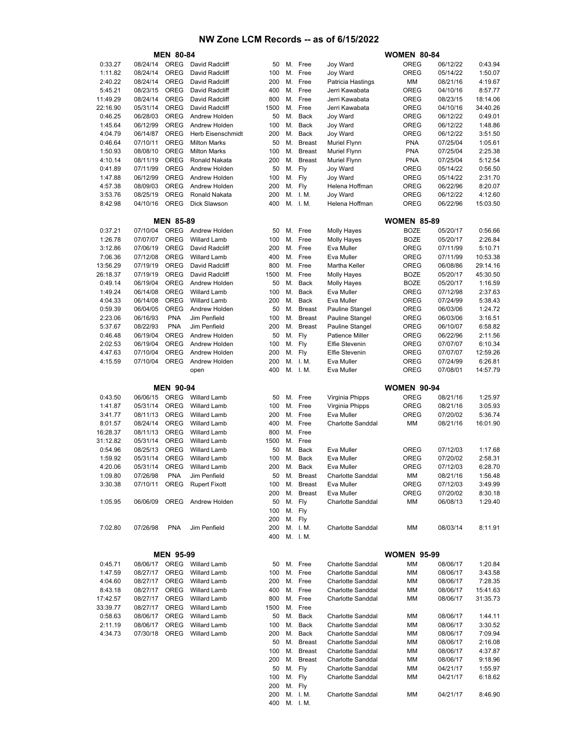|          |                      | <b>MEN 80-84</b> |                                            |            |    |                    |                                        | <b>WOMEN 80-84</b> |                      |          |
|----------|----------------------|------------------|--------------------------------------------|------------|----|--------------------|----------------------------------------|--------------------|----------------------|----------|
| 0:33.27  | 08/24/14             | OREG             | David Radcliff                             | 50         | М. | Free               | Joy Ward                               | <b>OREG</b>        | 06/12/22             | 0:43.94  |
| 1:11.82  | 08/24/14             | <b>OREG</b>      | David Radcliff                             | 100        | М. | Free               | Joy Ward                               | <b>OREG</b>        | 05/14/22             | 1:50.07  |
| 2:40.22  | 08/24/14             | <b>OREG</b>      | David Radcliff                             | 200        | М. | Free               | Patricia Hastings                      | ΜМ                 | 08/21/16             | 4:19.67  |
| 5:45.21  | 08/23/15             | <b>OREG</b>      | David Radcliff                             | 400        | М. | Free               | Jerri Kawabata                         | <b>OREG</b>        | 04/10/16             | 8:57.77  |
| 11:49.29 | 08/24/14             | <b>OREG</b>      | David Radcliff                             | 800        | М. | Free               | Jerri Kawabata                         | <b>OREG</b>        | 08/23/15             | 18:14.06 |
| 22:16.90 | 05/31/14             | <b>OREG</b>      | David Radcliff                             | 1500       | М. | Free               | Jerri Kawabata                         | <b>OREG</b>        | 04/10/16             | 34:40.26 |
| 0:46.25  | 06/28/03             | <b>OREG</b>      | Andrew Holden                              | 50         | М. | Back               | Joy Ward                               | <b>OREG</b>        | 06/12/22             | 0:49.01  |
| 1:45.64  | 06/12/99             | <b>OREG</b>      | Andrew Holden                              | 100        | М. | Back               | Joy Ward                               | <b>OREG</b>        | 06/12/22             | 1:48.86  |
| 4:04.79  | 06/14/87             | <b>OREG</b>      | Herb Eisenschmidt                          | 200        | М. | Back               | Joy Ward                               | <b>OREG</b>        | 06/12/22             | 3:51.50  |
| 0:46.64  | 07/10/11             | <b>OREG</b>      | <b>Milton Marks</b>                        | 50         | М. | <b>Breast</b>      | Muriel Flynn                           | <b>PNA</b>         | 07/25/04             | 1:05.61  |
| 1:50.93  | 08/08/10             | OREG             | <b>Milton Marks</b>                        | 100        | М. | <b>Breast</b>      | Muriel Flynn                           | <b>PNA</b>         | 07/25/04             | 2:25.38  |
| 4:10.14  | 08/11/19             | <b>OREG</b>      | Ronald Nakata                              | 200        | М. | <b>Breast</b>      | Muriel Flynn                           | <b>PNA</b>         | 07/25/04             | 5:12.54  |
| 0:41.89  | 07/11/99             | <b>OREG</b>      | Andrew Holden                              | 50         | М. | Fly                | Joy Ward                               | <b>OREG</b>        | 05/14/22             | 0:56.50  |
| 1:47.88  | 06/12/99             | <b>OREG</b>      | Andrew Holden                              | 100        | М. | Fly                | Joy Ward                               | <b>OREG</b>        | 05/14/22             | 2:31.70  |
| 4:57.38  | 08/09/03             | <b>OREG</b>      | Andrew Holden                              |            | М. |                    |                                        | <b>OREG</b>        | 06/22/96             | 8:20.07  |
|          |                      |                  |                                            | 200        |    | Fly                | Helena Hoffman                         |                    |                      |          |
| 3:53.76  | 08/25/19             | <b>OREG</b>      | Ronald Nakata                              | 200        | М. | I. M.              | Joy Ward                               | <b>OREG</b>        | 06/12/22             | 4:12.60  |
| 8:42.98  | 04/10/16             | <b>OREG</b>      | Dick Slawson                               | 400        |    | M. I.M.            | Helena Hoffman                         | <b>OREG</b>        | 06/22/96             | 15:03.50 |
|          |                      | <b>MEN 85-89</b> |                                            |            |    |                    |                                        | <b>WOMEN 85-89</b> |                      |          |
|          |                      |                  |                                            |            |    |                    |                                        |                    |                      |          |
| 0:37.21  | 07/10/04             | <b>OREG</b>      | Andrew Holden                              | 50         |    | M. Free            | <b>Molly Hayes</b>                     | <b>BOZE</b>        | 05/20/17             | 0:56.66  |
| 1:26.78  | 07/07/07             | <b>OREG</b>      | <b>Willard Lamb</b>                        | 100        | М. | Free               | Molly Hayes                            | <b>BOZE</b>        | 05/20/17             | 2:26.84  |
| 3:12.86  | 07/06/19             | <b>OREG</b>      | David Radcliff                             | 200        | М. | Free               | Eva Muller                             | <b>OREG</b>        | 07/11/99             | 5:10.71  |
| 7:06.36  | 07/12/08             | <b>OREG</b>      | <b>Willard Lamb</b>                        | 400        | М. | Free               | Eva Muller                             | <b>OREG</b>        | 07/11/99             | 10:53.38 |
| 13:56.29 | 07/19/19             | <b>OREG</b>      | David Radcliff                             | 800        | М. | Free               | <b>Martha Keller</b>                   | <b>OREG</b>        | 06/08/86             | 29:14.16 |
| 26:18.37 | 07/19/19             | <b>OREG</b>      | David Radcliff                             | 1500       | М. | Free               | <b>Molly Hayes</b>                     | <b>BOZE</b>        | 05/20/17             | 45:30.50 |
| 0:49.14  | 06/19/04             | <b>OREG</b>      | Andrew Holden                              | 50         | М. | Back               | <b>Molly Hayes</b>                     | <b>BOZE</b>        | 05/20/17             | 1:16.59  |
| 1:49.24  | 06/14/08             | OREG             | <b>Willard Lamb</b>                        | 100        | М. | Back               | Eva Muller                             | <b>OREG</b>        | 07/12/98             | 2:37.63  |
| 4:04.33  | 06/14/08             | <b>OREG</b>      | <b>Willard Lamb</b>                        | 200        | М. | Back               | Eva Muller                             | <b>OREG</b>        | 07/24/99             | 5:38.43  |
| 0:59.39  | 06/04/05             | <b>OREG</b>      | Andrew Holden                              | 50         | М. | <b>Breast</b>      | Pauline Stangel                        | <b>OREG</b>        | 06/03/06             | 1:24.72  |
| 2:23.06  | 06/16/93             | <b>PNA</b>       | Jim Penfield                               | 100        | М. | <b>Breast</b>      | Pauline Stangel                        | <b>OREG</b>        | 06/03/06             | 3:16.51  |
| 5:37.67  | 08/22/93             | <b>PNA</b>       | Jim Penfield                               | 200        | М. | <b>Breast</b>      | Pauline Stangel                        | <b>OREG</b>        | 06/10/07             | 6:58.82  |
| 0:46.48  | 06/19/04             | <b>OREG</b>      | Andrew Holden                              | 50         | М. | Fly                | <b>Patience Miller</b>                 | <b>OREG</b>        | 06/22/96             | 2:11.56  |
| 2:02.53  | 06/19/04             | <b>OREG</b>      | Andrew Holden                              | 100        |    | M. Fly             | Elfie Stevenin                         | <b>OREG</b>        | 07/07/07             | 6:10.34  |
| 4:47.63  | 07/10/04             | <b>OREG</b>      | Andrew Holden                              | 200        | М. | Fly                | Elfie Stevenin                         | OREG               | 07/07/07             | 12:59.26 |
| 4:15.59  | 07/10/04             | <b>OREG</b>      | Andrew Holden                              | 200        | М. | I. M.              | Eva Muller                             | <b>OREG</b>        | 07/24/99             | 6:26.81  |
|          |                      |                  | open                                       | 400        | М. | I. M.              | Eva Muller                             | <b>OREG</b>        | 07/08/01             | 14:57.79 |
|          |                      |                  |                                            |            |    |                    |                                        |                    |                      |          |
|          |                      | <b>MEN 90-94</b> |                                            |            |    |                    |                                        | <b>WOMEN 90-94</b> |                      |          |
| 0:43.50  | 06/06/15             | OREG             | <b>Willard Lamb</b>                        | 50         | М. | Free               | Virginia Phipps                        | <b>OREG</b>        | 08/21/16             | 1:25.97  |
| 1:41.87  | 05/31/14             | <b>OREG</b>      | <b>Willard Lamb</b>                        | 100        | М. | Free               | Virginia Phipps                        | <b>OREG</b>        | 08/21/16             | 3:05.93  |
| 3:41.77  | 08/11/13             | <b>OREG</b>      | <b>Willard Lamb</b>                        | 200        | М. | Free               | Eva Muller                             | <b>OREG</b>        | 07/20/02             | 5:36.74  |
|          |                      |                  |                                            |            |    | M. Free            |                                        |                    |                      | 16:01.90 |
|          |                      |                  |                                            |            |    |                    |                                        |                    |                      |          |
| 8:01.57  | 08/24/14             | <b>OREG</b>      | <b>Willard Lamb</b>                        | 400        |    |                    | <b>Charlotte Sanddal</b>               | МM                 | 08/21/16             |          |
| 16:28.37 | 08/11/13             | <b>OREG</b>      | <b>Willard Lamb</b>                        | 800        | М. | Free               |                                        |                    |                      |          |
| 31:12.82 | 05/31/14             | <b>OREG</b>      | <b>Willard Lamb</b>                        | 1500       | М. | Free               |                                        |                    |                      |          |
| 0:54.96  | 08/25/13             | <b>OREG</b>      | <b>Willard Lamb</b>                        | 50         | М. | Back               | Eva Muller                             | <b>OREG</b>        | 07/12/03             | 1:17.68  |
| 1:59.92  | 05/31/14             | <b>OREG</b>      | <b>Willard Lamb</b>                        | 100        | М. | Back               | Eva Muller                             | <b>OREG</b>        | 07/20/02             | 2:58.31  |
| 4:20.06  | 05/31/14             | <b>OREG</b>      | <b>Willard Lamb</b>                        | 200        | М. | Back               | Eva Muller                             | OREG               | 07/12/03             | 6:28.70  |
| 1:09.80  | 07/26/98             | <b>PNA</b>       | Jim Penfield                               | 50         | М. | <b>Breast</b>      | Charlotte Sanddal                      | ΜМ                 | 08/21/16             | 1:56.48  |
| 3:30.38  |                      |                  | 07/10/11 OREG Rupert Fixott                | 100        |    | M. Breast          | Eva Muller                             | OREG               | 07/12/03             | 3:49.99  |
|          |                      |                  |                                            | 200        | М. | <b>Breast</b>      | Eva Muller                             | <b>OREG</b>        | 07/20/02             | 8:30.18  |
| 1:05.95  | 06/06/09             | OREG             | Andrew Holden                              | 50         |    | M. Fly             | Charlotte Sanddal                      | ΜМ                 | 06/08/13             | 1:29.40  |
|          |                      |                  |                                            | 100        |    | M. Fly             |                                        |                    |                      |          |
|          |                      |                  |                                            | 200        |    | M. Fly             |                                        |                    |                      |          |
| 7:02.80  | 07/26/98             | <b>PNA</b>       | Jim Penfield                               | 200        |    | M. I.M.            | Charlotte Sanddal                      | МM                 | 08/03/14             | 8:11.91  |
|          |                      |                  |                                            | 400        |    | M. I.M.            |                                        |                    |                      |          |
|          |                      |                  |                                            |            |    |                    |                                        |                    |                      |          |
|          |                      | <b>MEN 95-99</b> |                                            |            |    |                    |                                        | <b>WOMEN 95-99</b> |                      |          |
| 0:45.71  |                      |                  | 08/06/17 OREG Willard Lamb                 | 50         |    | M. Free            | Charlotte Sanddal                      | МM                 | 08/06/17             | 1:20.84  |
|          |                      |                  |                                            |            |    |                    |                                        |                    |                      |          |
| 1:47.59  | 08/27/17<br>08/27/17 | OREG<br>OREG     | <b>Willard Lamb</b><br><b>Willard Lamb</b> | 100<br>200 |    | M. Free<br>M. Free | Charlotte Sanddal<br>Charlotte Sanddal | МM<br>МM           | 08/06/17<br>08/06/17 | 3:43.58  |
| 4:04.60  |                      |                  |                                            |            |    |                    |                                        |                    |                      | 7:28.35  |
| 8:43.18  | 08/27/17             | OREG             | Willard Lamb                               | 400        | М. | Free               | Charlotte Sanddal                      | МM                 | 08/06/17             | 15:41.63 |
| 17:42.57 | 08/27/17             | OREG             | <b>Willard Lamb</b>                        | 800        |    | M. Free            | Charlotte Sanddal                      | МM                 | 08/06/17             | 31:35.73 |
| 33:39.77 | 08/27/17             | OREG             | Willard Lamb                               | 1500       |    | M. Free            |                                        |                    |                      |          |
| 0:58.63  | 08/06/17             | OREG             | <b>Willard Lamb</b>                        | 50         |    | M. Back            | Charlotte Sanddal                      | МM                 | 08/06/17             | 1:44.11  |
| 2:11.19  | 08/06/17             | OREG             | <b>Willard Lamb</b>                        | 100        | М. | Back               | Charlotte Sanddal                      | МM                 | 08/06/17             | 3:30.52  |
| 4:34.73  | 07/30/18             | OREG             | <b>Willard Lamb</b>                        | 200        |    | M. Back            | Charlotte Sanddal                      | МM                 | 08/06/17             | 7:09.94  |
|          |                      |                  |                                            | 50         | М. | <b>Breast</b>      | Charlotte Sanddal                      | МM                 | 08/06/17             | 2:16.08  |
|          |                      |                  |                                            | 100        |    | M. Breast          | Charlotte Sanddal                      | МM                 | 08/06/17             | 4:37.87  |
|          |                      |                  |                                            | 200        | M. | <b>Breast</b>      | Charlotte Sanddal                      | МM                 | 08/06/17             | 9:18.96  |
|          |                      |                  |                                            | 50         |    | M. Fly             | Charlotte Sanddal                      | МM                 | 04/21/17             | 1:55.97  |
|          |                      |                  |                                            | 100        |    | M. Fly             | Charlotte Sanddal                      | МM                 | 04/21/17             | 6:18.62  |
|          |                      |                  |                                            | 200        |    | M. Fly             |                                        |                    |                      |          |
|          |                      |                  |                                            | 200<br>400 |    | M. I.M.<br>M. I.M. | Charlotte Sanddal                      | МM                 | 04/21/17             | 8:46.90  |